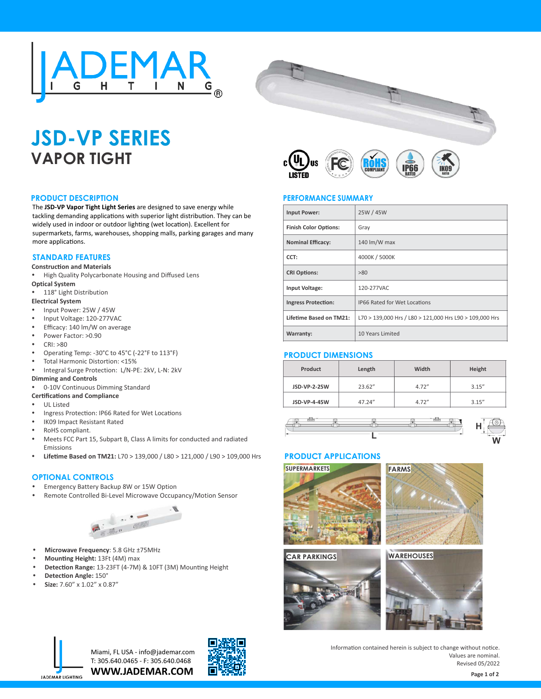



# **JSD-VP SERIES VAPOR TIGHT**

#### **PRODUCT DESCRIPTION**

The **JSD-VP Vapor Tight Light Series** are designed to save energy while tackling demanding applications with superior light distribution. They can be widely used in indoor or outdoor lighting (wet location). Excellent for supermarkets, farms, warehouses, shopping malls, parking garages and many more applications.

# **STANDARD FEATURES**

#### **Construction and Materials**

- High Quality Polycarbonate Housing and Diffused Lens **Optical System**
- 118° Light Distribution

#### **Electrical System**

- Input Power: 25W / 45W
- Input Voltage: 120-277VAC
- Efficacy: 140 lm/W on average
- Power Factor: >0.90
- CRI: >80
- Operating Temp: -30°C to 45°C (-22°F to 113°F)
- Total Harmonic Distortion: <15%
- Integral Surge Protection: L/N-PE: 2kV, L-N: 2kV
- **Dimming and Controls** 0-10V Continuous Dimming Standard
- **Certifications and Compliance**

#### **UL Listed**

- Ingress Protection: IP66 Rated for Wet Locations
- IK09 Impact Resistant Rated
- RoHS compliant.
- Meets FCC Part 15, Subpart B, Class A limits for conducted and radiated Emissions
- **Lifetime Based on TM21:** L70 > 139,000 / L80 > 121,000 / L90 > 109,000 Hrs

#### **OPTIONAL CONTROLS**

- Emergency Battery Backup 8W or 15W Option
- Remote Controlled Bi-Level Microwave Occupancy/Motion Sensor



- **Microwave Frequency**: 5.8 GHz ±75MHz
- **Mounting Height: 13Ft (4M) max**
- Detection Range: 13-23FT (4-7M) & 10FT (3M) Mounting Height
- **Detection Angle: 150°**
- Ÿ **Size:** 7.60" x 1.02" x 0.87"



## **PERFORMANCE SUMMARY**

| <b>Input Power:</b>            | 25W / 45W                                               |  |
|--------------------------------|---------------------------------------------------------|--|
| <b>Finish Color Options:</b>   | Gray                                                    |  |
| <b>Nominal Efficacy:</b>       | 140 lm/W max                                            |  |
| CCT:                           | 4000K / 5000K                                           |  |
| <b>CRI Options:</b>            | >80                                                     |  |
| <b>Input Voltage:</b>          | 120-277VAC                                              |  |
| <b>Ingress Protection:</b>     | <b>IP66 Rated for Wet Locations</b>                     |  |
| <b>Lifetime Based on TM21:</b> | L70 > 139,000 Hrs / L80 > 121,000 Hrs L90 > 109,000 Hrs |  |
| <b>Warranty:</b>               | 10 Years Limited                                        |  |

# **PRODUCT DIMENSIONS**

| Product             | Length  | Width  | Height |
|---------------------|---------|--------|--------|
| <b>JSD-VP-2-25W</b> | 23.62"  | 4.72'' | 3.15'' |
| JSD-VP-4-45W        | 47.24'' |        | 3.15'' |

# **<sup>L</sup> <sup>W</sup> H**

## **PRODUCT APPLICATIONS**









**WWW.JADEMAR.COM** Miami, FL USA - info@jademar.com T: 305.640.0465 - F: 305.640.0468



Information contained herein is subject to change without notice. Values are nominal. Revised 05/2022